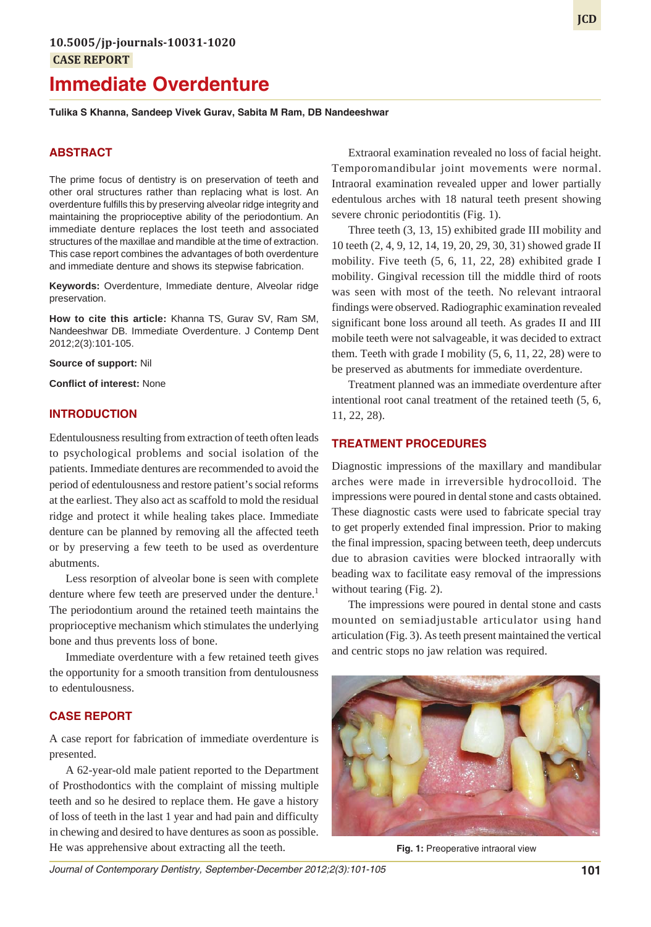# **Immediate Overdenture**

**Tulika S Khanna, Sandeep Vivek Gurav, Sabita M Ram, DB Nandeeshwar**

# **ABSTRACT**

The prime focus of dentistry is on preservation of teeth and other oral structures rather than replacing what is lost. An overdenture fulfills this by preserving alveolar ridge integrity and maintaining the proprioceptive ability of the periodontium. An immediate denture replaces the lost teeth and associated structures of the maxillae and mandible at the time of extraction. This case report combines the advantages of both overdenture and immediate denture and shows its stepwise fabrication.

**Keywords:** Overdenture, Immediate denture, Alveolar ridge preservation.

**How to cite this article:** Khanna TS, Gurav SV, Ram SM, Nandeeshwar DB. Immediate Overdenture. J Contemp Dent 2012;2(3):101-105.

**Source of support:** Nil

**Conflict of interest:** None

### **INTRODUCTION**

Edentulousness resulting from extraction of teeth often leads to psychological problems and social isolation of the patients. Immediate dentures are recommended to avoid the period of edentulousness and restore patient's social reforms at the earliest. They also act as scaffold to mold the residual ridge and protect it while healing takes place. Immediate denture can be planned by removing all the affected teeth or by preserving a few teeth to be used as overdenture abutments.

Less resorption of alveolar bone is seen with complete denture where few teeth are preserved under the denture.<sup>1</sup> The periodontium around the retained teeth maintains the proprioceptive mechanism which stimulates the underlying bone and thus prevents loss of bone.

Immediate overdenture with a few retained teeth gives the opportunity for a smooth transition from dentulousness to edentulousness.

## **CASE REPORT**

A case report for fabrication of immediate overdenture is presented.

A 62-year-old male patient reported to the Department of Prosthodontics with the complaint of missing multiple teeth and so he desired to replace them. He gave a history of loss of teeth in the last 1 year and had pain and difficulty in chewing and desired to have dentures as soon as possible. He was apprehensive about extracting all the teeth.

Extraoral examination revealed no loss of facial height. Temporomandibular joint movements were normal. Intraoral examination revealed upper and lower partially edentulous arches with 18 natural teeth present showing severe chronic periodontitis (Fig. 1).

Three teeth (3, 13, 15) exhibited grade III mobility and 10 teeth (2, 4, 9, 12, 14, 19, 20, 29, 30, 31) showed grade II mobility. Five teeth (5, 6, 11, 22, 28) exhibited grade I mobility. Gingival recession till the middle third of roots was seen with most of the teeth. No relevant intraoral findings were observed. Radiographic examination revealed significant bone loss around all teeth. As grades II and III mobile teeth were not salvageable, it was decided to extract them. Teeth with grade I mobility (5, 6, 11, 22, 28) were to be preserved as abutments for immediate overdenture.

Treatment planned was an immediate overdenture after intentional root canal treatment of the retained teeth (5, 6, 11, 22, 28).

# **TREATMENT PROCEDURES**

Diagnostic impressions of the maxillary and mandibular arches were made in irreversible hydrocolloid. The impressions were poured in dental stone and casts obtained. These diagnostic casts were used to fabricate special tray to get properly extended final impression. Prior to making the final impression, spacing between teeth, deep undercuts due to abrasion cavities were blocked intraorally with beading wax to facilitate easy removal of the impressions without tearing (Fig. 2).

The impressions were poured in dental stone and casts mounted on semiadjustable articulator using hand articulation (Fig. 3). As teeth present maintained the vertical and centric stops no jaw relation was required.



**Fig. 1:** Preoperative intraoral view

*Journal of Contemporary Dentistry, September-December 2012;2(3):101-105* **101**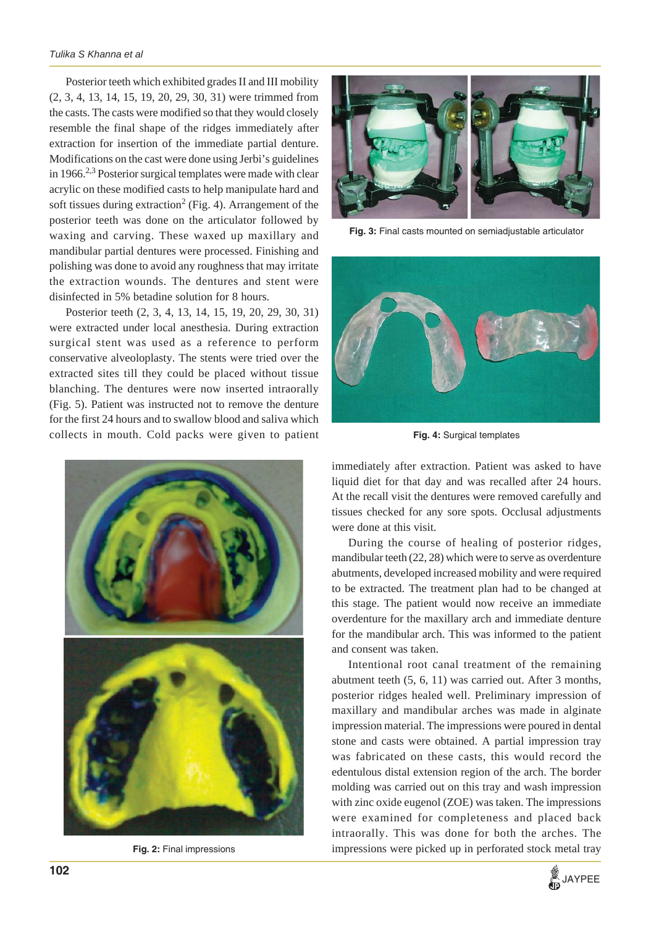Posterior teeth which exhibited grades II and III mobility (2, 3, 4, 13, 14, 15, 19, 20, 29, 30, 31) were trimmed from the casts. The casts were modified so that they would closely resemble the final shape of the ridges immediately after extraction for insertion of the immediate partial denture. Modifications on the cast were done using Jerbi's guidelines in 1966.<sup>2,3</sup> Posterior surgical templates were made with clear acrylic on these modified casts to help manipulate hard and soft tissues during extraction<sup>2</sup> (Fig. 4). Arrangement of the posterior teeth was done on the articulator followed by waxing and carving. These waxed up maxillary and mandibular partial dentures were processed. Finishing and polishing was done to avoid any roughness that may irritate the extraction wounds. The dentures and stent were disinfected in 5% betadine solution for 8 hours.

Posterior teeth (2, 3, 4, 13, 14, 15, 19, 20, 29, 30, 31) were extracted under local anesthesia. During extraction surgical stent was used as a reference to perform conservative alveoloplasty. The stents were tried over the extracted sites till they could be placed without tissue blanching. The dentures were now inserted intraorally (Fig. 5). Patient was instructed not to remove the denture for the first 24 hours and to swallow blood and saliva which collects in mouth. Cold packs were given to patient



**Fig. 2:** Final impressions



**Fig. 3:** Final casts mounted on semiadjustable articulator



**Fig. 4:** Surgical templates

immediately after extraction. Patient was asked to have liquid diet for that day and was recalled after 24 hours. At the recall visit the dentures were removed carefully and tissues checked for any sore spots. Occlusal adjustments were done at this visit.

During the course of healing of posterior ridges, mandibular teeth (22, 28) which were to serve as overdenture abutments, developed increased mobility and were required to be extracted. The treatment plan had to be changed at this stage. The patient would now receive an immediate overdenture for the maxillary arch and immediate denture for the mandibular arch. This was informed to the patient and consent was taken.

Intentional root canal treatment of the remaining abutment teeth (5, 6, 11) was carried out. After 3 months, posterior ridges healed well. Preliminary impression of maxillary and mandibular arches was made in alginate impression material. The impressions were poured in dental stone and casts were obtained. A partial impression tray was fabricated on these casts, this would record the edentulous distal extension region of the arch. The border molding was carried out on this tray and wash impression with zinc oxide eugenol (ZOE) was taken. The impressions were examined for completeness and placed back intraorally. This was done for both the arches. The impressions were picked up in perforated stock metal tray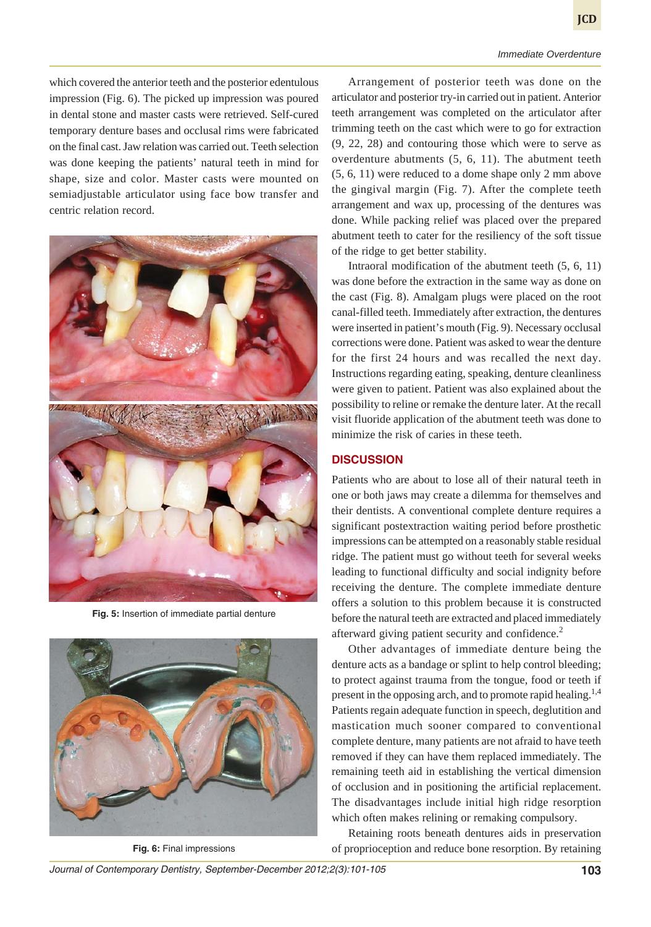#### *Immediate Overdenture*

which covered the anterior teeth and the posterior edentulous impression (Fig. 6). The picked up impression was poured in dental stone and master casts were retrieved. Self-cured temporary denture bases and occlusal rims were fabricated on the final cast. Jaw relation was carried out. Teeth selection was done keeping the patients' natural teeth in mind for shape, size and color. Master casts were mounted on semiadjustable articulator using face bow transfer and centric relation record.



**Fig. 5:** Insertion of immediate partial denture



**Fig. 6:** Final impressions

Arrangement of posterior teeth was done on the articulator and posterior try-in carried out in patient. Anterior teeth arrangement was completed on the articulator after trimming teeth on the cast which were to go for extraction (9, 22, 28) and contouring those which were to serve as overdenture abutments (5, 6, 11). The abutment teeth (5, 6, 11) were reduced to a dome shape only 2 mm above the gingival margin (Fig. 7). After the complete teeth arrangement and wax up, processing of the dentures was done. While packing relief was placed over the prepared abutment teeth to cater for the resiliency of the soft tissue of the ridge to get better stability.

Intraoral modification of the abutment teeth (5, 6, 11) was done before the extraction in the same way as done on the cast (Fig. 8). Amalgam plugs were placed on the root canal-filled teeth. Immediately after extraction, the dentures were inserted in patient's mouth (Fig. 9). Necessary occlusal corrections were done. Patient was asked to wear the denture for the first 24 hours and was recalled the next day. Instructions regarding eating, speaking, denture cleanliness were given to patient. Patient was also explained about the possibility to reline or remake the denture later. At the recall visit fluoride application of the abutment teeth was done to minimize the risk of caries in these teeth.

# **DISCUSSION**

Patients who are about to lose all of their natural teeth in one or both jaws may create a dilemma for themselves and their dentists. A conventional complete denture requires a significant postextraction waiting period before prosthetic impressions can be attempted on a reasonably stable residual ridge. The patient must go without teeth for several weeks leading to functional difficulty and social indignity before receiving the denture. The complete immediate denture offers a solution to this problem because it is constructed before the natural teeth are extracted and placed immediately afterward giving patient security and confidence.<sup>2</sup>

Other advantages of immediate denture being the denture acts as a bandage or splint to help control bleeding; to protect against trauma from the tongue, food or teeth if present in the opposing arch, and to promote rapid healing.<sup>1,4</sup> Patients regain adequate function in speech, deglutition and mastication much sooner compared to conventional complete denture, many patients are not afraid to have teeth removed if they can have them replaced immediately. The remaining teeth aid in establishing the vertical dimension of occlusion and in positioning the artificial replacement. The disadvantages include initial high ridge resorption which often makes relining or remaking compulsory.

Retaining roots beneath dentures aids in preservation of proprioception and reduce bone resorption. By retaining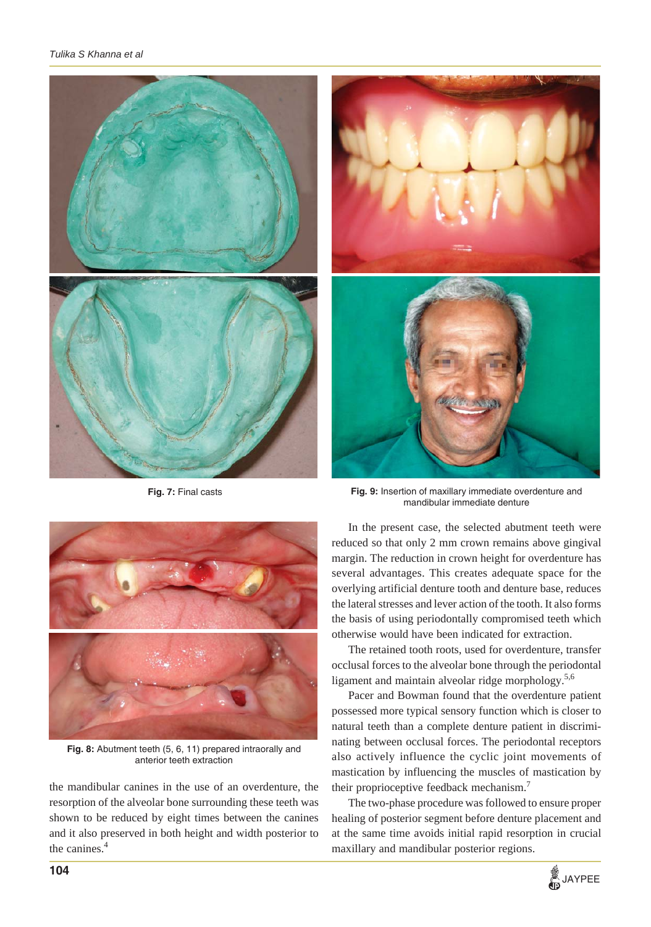

**Fig. 7:** Final casts



**Fig. 9:** Insertion of maxillary immediate overdenture and mandibular immediate denture

In the present case, the selected abutment teeth were reduced so that only 2 mm crown remains above gingival margin. The reduction in crown height for overdenture has several advantages. This creates adequate space for the overlying artificial denture tooth and denture base, reduces the lateral stresses and lever action of the tooth. It also forms the basis of using periodontally compromised teeth which otherwise would have been indicated for extraction.

The retained tooth roots, used for overdenture, transfer occlusal forces to the alveolar bone through the periodontal ligament and maintain alveolar ridge morphology.<sup>5,6</sup>

Pacer and Bowman found that the overdenture patient possessed more typical sensory function which is closer to natural teeth than a complete denture patient in discriminating between occlusal forces. The periodontal receptors also actively influence the cyclic joint movements of mastication by influencing the muscles of mastication by their proprioceptive feedback mechanism.7

The two-phase procedure was followed to ensure proper healing of posterior segment before denture placement and at the same time avoids initial rapid resorption in crucial maxillary and mandibular posterior regions.



**Fig. 8:** Abutment teeth (5, 6, 11) prepared intraorally and anterior teeth extraction

the mandibular canines in the use of an overdenture, the resorption of the alveolar bone surrounding these teeth was shown to be reduced by eight times between the canines and it also preserved in both height and width posterior to the canines.<sup>4</sup>